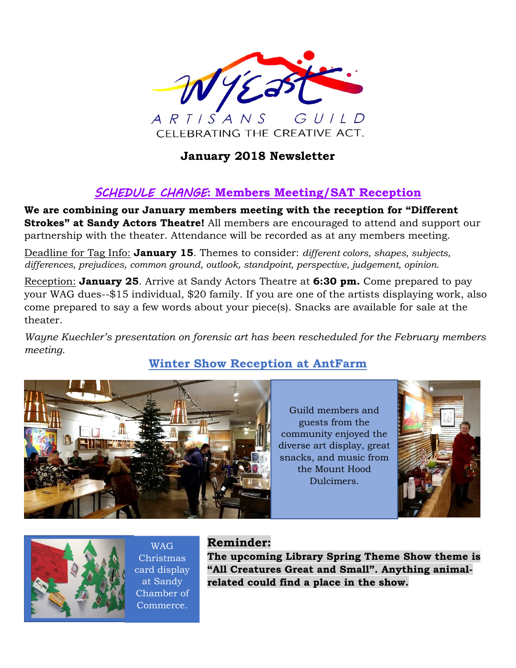

# **January 2018 Newsletter**

# *SCHEDULE CHANGE***: Members Meeting/SAT Reception**

**We are combining our January members meeting with the reception for "Different Strokes" at Sandy Actors Theatre!** All members are encouraged to attend and support our partnership with the theater. Attendance will be recorded as at any members meeting.

Deadline for Tag Info: **January 15**. Themes to consider: *different colors, shapes, subjects, differences, prejudices, common ground, outlook, standpoint, perspective, judgement, opinion.*

Reception: **January 25**. Arrive at Sandy Actors Theatre at **6:30 pm.** Come prepared to pay your WAG dues--\$15 individual, \$20 family. If you are one of the artists displaying work, also come prepared to say a few words about your piece(s). Snacks are available for sale at the theater.

*Wayne Kuechler's presentation on forensic art has been rescheduled for the February members meeting.*

# **Winter Show Reception at AntFarm**



Guild members and guests from the community enjoyed the diverse art display, great snacks, and music from the Mount Hood Dulcimers.





WAG Christmas card display at Sandy Chamber of Commerce.

## **Reminder:**

**The upcoming Library Spring Theme Show theme is "All Creatures Great and Small". Anything animalrelated could find a place in the show.**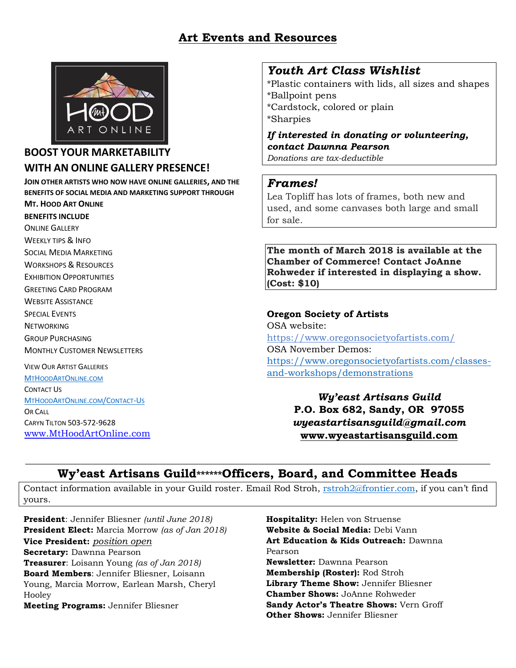## **Art Events and Resources**



### **BOOST YOUR MARKETABILITY WITH AN ONLINE GALLERY PRESENCE!**

**JOIN OTHER ARTISTS WHO NOW HAVE ONLINE GALLERIES, AND THE BENEFITS OF SOCIAL MEDIA AND MARKETING SUPPORT THROUGH MT. HOOD ART ONLINE**

**BENEFITS INCLUDE** 

ONLINE GALLERY WEEKLY TIPS & INFO SOCIAL MEDIA MARKETING WORKSHOPS & RESOURCES EXHIBITION OPPORTUNITIES GREETING CARD PROGRAM WEBSITE ASSISTANCE SPECIAL EVENTS **NETWORKING** GROUP PURCHASING MONTHLY CUSTOMER NEWSLETTERS VIEW OUR ARTIST GALLERIES

[M](http://www.mthoodartonline.com/)[T](http://www.mthoodartonline.com/)[H](http://www.mthoodartonline.com/)[OOD](http://www.mthoodartonline.com/)[A](http://www.mthoodartonline.com/)[RT](http://www.mthoodartonline.com/)[O](http://www.mthoodartonline.com/)[NLINE](http://www.mthoodartonline.com/)[.](http://www.mthoodartonline.com/)[COM](http://www.mthoodartonline.com/) CONTACT US [M](http://www.mthoodartonline/Contact-Us)[T](http://www.mthoodartonline/Contact-Us)[H](http://www.mthoodartonline/Contact-Us)[OOD](http://www.mthoodartonline/Contact-Us)[A](http://www.mthoodartonline/Contact-Us)[RT](http://www.mthoodartonline/Contact-Us)[O](http://www.mthoodartonline/Contact-Us)[NLINE](http://www.mthoodartonline/Contact-Us)[.](http://www.mthoodartonline/Contact-Us)[COM](http://www.mthoodartonline/Contact-Us)[/C](http://www.mthoodartonline/Contact-Us)[ONTACT](http://www.mthoodartonline/Contact-Us)[-U](http://www.mthoodartonline/Contact-Us)[S](http://www.mthoodartonline/Contact-Us) OR CALL CARYN TILTON 503-572-9628 [www.MtHoodArtOnline.com](http://www.mthoodartonline.com/)

## *Youth Art Class Wishlist*

\*Plastic containers with lids, all sizes and shapes \*Ballpoint pens \*Cardstock, colored or plain \*Sharpies

*If interested in donating or volunteering, contact Dawnna Pearson*

*Donations are tax-deductible*

#### *Frames!*

Lea Topliff has lots of frames, both new and used, and some canvases both large and small for sale.

**The month of March 2018 is available at the Chamber of Commerce! Contact JoAnne Rohweder if interested in displaying a show. (Cost: \$10)**

#### **Oregon Society of Artists**

OSA website: <https://www.oregonsocietyofartists.com/> OSA November Demos: [https://www.oregonsocietyofartists.com/classes](https://www.oregonsocietyofartists.com/classes-and-workshops/demonstrations)[and-workshops/demonstrations](https://www.oregonsocietyofartists.com/classes-and-workshops/demonstrations)

> *Wy'east Artisans Guild* **P.O. Box 682, Sandy, OR 97055** *wyeastartisansguild@gmail.com* **[www.wyeastartisansguild.com](http://www.wyeastartisansguild.com/)**

#### $\_$  , and the set of the set of the set of the set of the set of the set of the set of the set of the set of the set of the set of the set of the set of the set of the set of the set of the set of the set of the set of th **Wy'east Artisans Guild\*\*\*\*\*\*Officers, Board, and Committee Heads**

Contact information available in your Guild roster. Email Rod Stroh, [rstroh2@frontier.com](mailto:rstroh2@frontier.com), if you can't find yours.

**President**: Jennifer Bliesner *(until June 2018)* **President Elect:** Marcia Morrow *(as of Jan 2018)* **Vice President:** *position open* **Secretary:** Dawnna Pearson **Treasurer**: Loisann Young *(as of Jan 2018)* **Board Members**: Jennifer Bliesner, Loisann Young, Marcia Morrow, Earlean Marsh, Cheryl Hooley **Meeting Programs:** Jennifer Bliesner

**Hospitality:** Helen von Struense **Website & Social Media:** Debi Vann **Art Education & Kids Outreach:** Dawnna Pearson **Newsletter:** Dawnna Pearson **Membership (Roster):** Rod Stroh **Library Theme Show:** Jennifer Bliesner **Chamber Shows:** JoAnne Rohweder **Sandy Actor's Theatre Shows:** Vern Groff **Other Shows:** Jennifer Bliesner